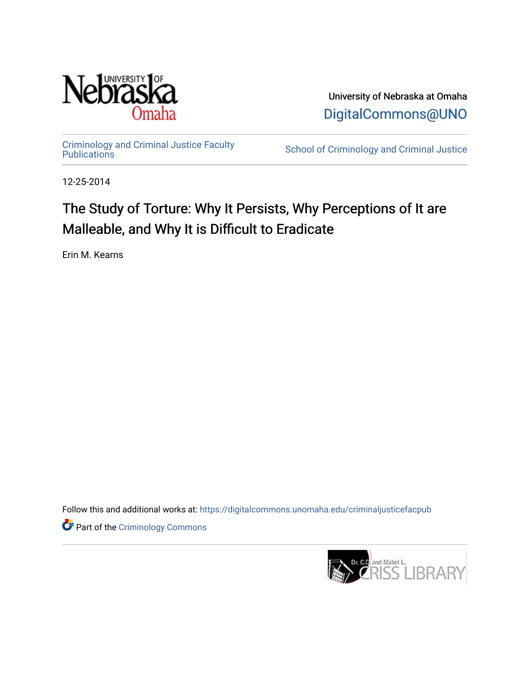

University of Nebraska at Omaha [DigitalCommons@UNO](https://digitalcommons.unomaha.edu/) 

[Criminology and Criminal Justice Faculty](https://digitalcommons.unomaha.edu/criminaljusticefacpub)

School of Criminology and Criminal Justice

12-25-2014

# The Study of Torture: Why It Persists, Why Perceptions of It are Malleable, and Why It is Difficult to Eradicate

Erin M. Kearns

Follow this and additional works at: [https://digitalcommons.unomaha.edu/criminaljusticefacpub](https://digitalcommons.unomaha.edu/criminaljusticefacpub?utm_source=digitalcommons.unomaha.edu%2Fcriminaljusticefacpub%2F120&utm_medium=PDF&utm_campaign=PDFCoverPages) 

**Part of the Criminology Commons** 

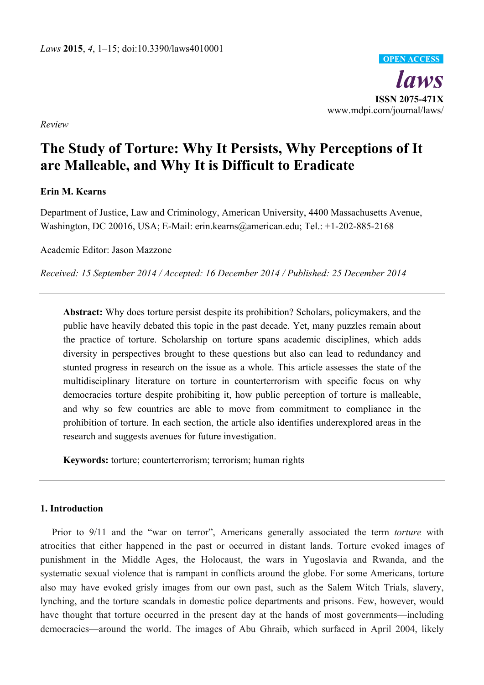*laws*  **ISSN 2075-471X**  www.mdpi.com/journal/laws/ **OPEN ACCESS**

*Review* 

## **The Study of Torture: Why It Persists, Why Perceptions of It are Malleable, and Why It is Difficult to Eradicate**

## **Erin M. Kearns**

Department of Justice, Law and Criminology, American University, 4400 Massachusetts Avenue, Washington, DC 20016, USA; E-Mail: erin.kearns@american.edu; Tel.: +1-202-885-2168

Academic Editor: Jason Mazzone

*Received: 15 September 2014 / Accepted: 16 December 2014 / Published: 25 December 2014* 

**Abstract:** Why does torture persist despite its prohibition? Scholars, policymakers, and the public have heavily debated this topic in the past decade. Yet, many puzzles remain about the practice of torture. Scholarship on torture spans academic disciplines, which adds diversity in perspectives brought to these questions but also can lead to redundancy and stunted progress in research on the issue as a whole. This article assesses the state of the multidisciplinary literature on torture in counterterrorism with specific focus on why democracies torture despite prohibiting it, how public perception of torture is malleable, and why so few countries are able to move from commitment to compliance in the prohibition of torture. In each section, the article also identifies underexplored areas in the research and suggests avenues for future investigation.

**Keywords:** torture; counterterrorism; terrorism; human rights

## **1. Introduction**

Prior to 9/11 and the "war on terror", Americans generally associated the term *torture* with atrocities that either happened in the past or occurred in distant lands. Torture evoked images of punishment in the Middle Ages, the Holocaust, the wars in Yugoslavia and Rwanda, and the systematic sexual violence that is rampant in conflicts around the globe. For some Americans, torture also may have evoked grisly images from our own past, such as the Salem Witch Trials, slavery, lynching, and the torture scandals in domestic police departments and prisons. Few, however, would have thought that torture occurred in the present day at the hands of most governments—including democracies—around the world. The images of Abu Ghraib, which surfaced in April 2004, likely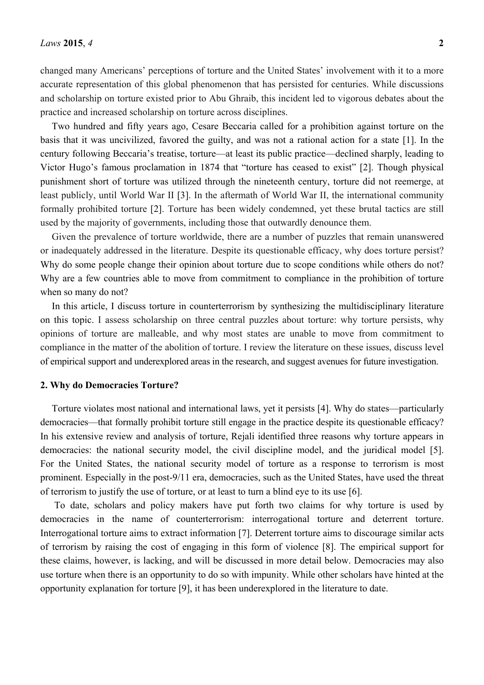changed many Americans' perceptions of torture and the United States' involvement with it to a more accurate representation of this global phenomenon that has persisted for centuries. While discussions and scholarship on torture existed prior to Abu Ghraib, this incident led to vigorous debates about the practice and increased scholarship on torture across disciplines.

Two hundred and fifty years ago, Cesare Beccaria called for a prohibition against torture on the basis that it was uncivilized, favored the guilty, and was not a rational action for a state [1]. In the century following Beccaria's treatise, torture—at least its public practice—declined sharply, leading to Victor Hugo's famous proclamation in 1874 that "torture has ceased to exist" [2]. Though physical punishment short of torture was utilized through the nineteenth century, torture did not reemerge, at least publicly, until World War II [3]. In the aftermath of World War II, the international community formally prohibited torture [2]. Torture has been widely condemned, yet these brutal tactics are still used by the majority of governments, including those that outwardly denounce them.

Given the prevalence of torture worldwide, there are a number of puzzles that remain unanswered or inadequately addressed in the literature. Despite its questionable efficacy, why does torture persist? Why do some people change their opinion about torture due to scope conditions while others do not? Why are a few countries able to move from commitment to compliance in the prohibition of torture when so many do not?

In this article, I discuss torture in counterterrorism by synthesizing the multidisciplinary literature on this topic. I assess scholarship on three central puzzles about torture: why torture persists, why opinions of torture are malleable, and why most states are unable to move from commitment to compliance in the matter of the abolition of torture. I review the literature on these issues, discuss level of empirical support and underexplored areas in the research, and suggest avenues for future investigation.

#### **2. Why do Democracies Torture?**

Torture violates most national and international laws, yet it persists [4]. Why do states—particularly democracies—that formally prohibit torture still engage in the practice despite its questionable efficacy? In his extensive review and analysis of torture, Rejali identified three reasons why torture appears in democracies: the national security model, the civil discipline model, and the juridical model [5]. For the United States, the national security model of torture as a response to terrorism is most prominent. Especially in the post-9/11 era, democracies, such as the United States, have used the threat of terrorism to justify the use of torture, or at least to turn a blind eye to its use [6].

 To date, scholars and policy makers have put forth two claims for why torture is used by democracies in the name of counterterrorism: interrogational torture and deterrent torture. Interrogational torture aims to extract information [7]. Deterrent torture aims to discourage similar acts of terrorism by raising the cost of engaging in this form of violence [8]. The empirical support for these claims, however, is lacking, and will be discussed in more detail below. Democracies may also use torture when there is an opportunity to do so with impunity. While other scholars have hinted at the opportunity explanation for torture [9], it has been underexplored in the literature to date.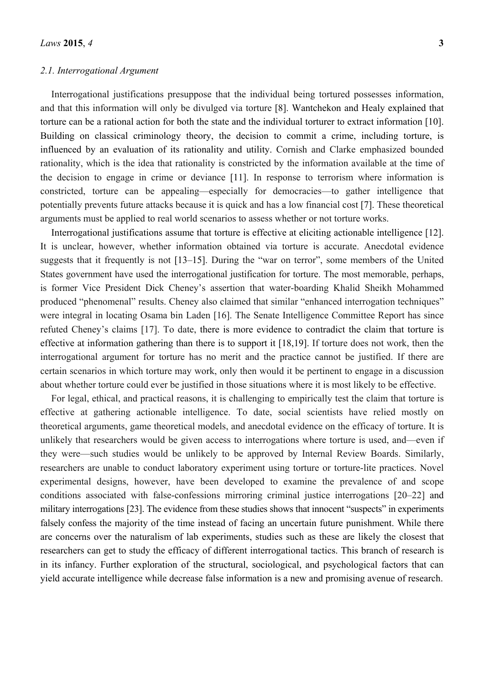#### *2.1. Interrogational Argument*

Interrogational justifications presuppose that the individual being tortured possesses information, and that this information will only be divulged via torture [8]. Wantchekon and Healy explained that torture can be a rational action for both the state and the individual torturer to extract information [10]. Building on classical criminology theory, the decision to commit a crime, including torture, is influenced by an evaluation of its rationality and utility. Cornish and Clarke emphasized bounded rationality, which is the idea that rationality is constricted by the information available at the time of the decision to engage in crime or deviance [11]. In response to terrorism where information is constricted, torture can be appealing—especially for democracies—to gather intelligence that potentially prevents future attacks because it is quick and has a low financial cost [7]. These theoretical arguments must be applied to real world scenarios to assess whether or not torture works.

Interrogational justifications assume that torture is effective at eliciting actionable intelligence [12]. It is unclear, however, whether information obtained via torture is accurate. Anecdotal evidence suggests that it frequently is not [13–15]. During the "war on terror", some members of the United States government have used the interrogational justification for torture. The most memorable, perhaps, is former Vice President Dick Cheney's assertion that water-boarding Khalid Sheikh Mohammed produced "phenomenal" results. Cheney also claimed that similar "enhanced interrogation techniques" were integral in locating Osama bin Laden [16]. The Senate Intelligence Committee Report has since refuted Cheney's claims [17]. To date, there is more evidence to contradict the claim that torture is effective at information gathering than there is to support it [18,19]. If torture does not work, then the interrogational argument for torture has no merit and the practice cannot be justified. If there are certain scenarios in which torture may work, only then would it be pertinent to engage in a discussion about whether torture could ever be justified in those situations where it is most likely to be effective.

For legal, ethical, and practical reasons, it is challenging to empirically test the claim that torture is effective at gathering actionable intelligence. To date, social scientists have relied mostly on theoretical arguments, game theoretical models, and anecdotal evidence on the efficacy of torture. It is unlikely that researchers would be given access to interrogations where torture is used, and—even if they were—such studies would be unlikely to be approved by Internal Review Boards. Similarly, researchers are unable to conduct laboratory experiment using torture or torture-lite practices. Novel experimental designs, however, have been developed to examine the prevalence of and scope conditions associated with false-confessions mirroring criminal justice interrogations [20–22] and military interrogations [23]. The evidence from these studies shows that innocent "suspects" in experiments falsely confess the majority of the time instead of facing an uncertain future punishment. While there are concerns over the naturalism of lab experiments, studies such as these are likely the closest that researchers can get to study the efficacy of different interrogational tactics. This branch of research is in its infancy. Further exploration of the structural, sociological, and psychological factors that can yield accurate intelligence while decrease false information is a new and promising avenue of research.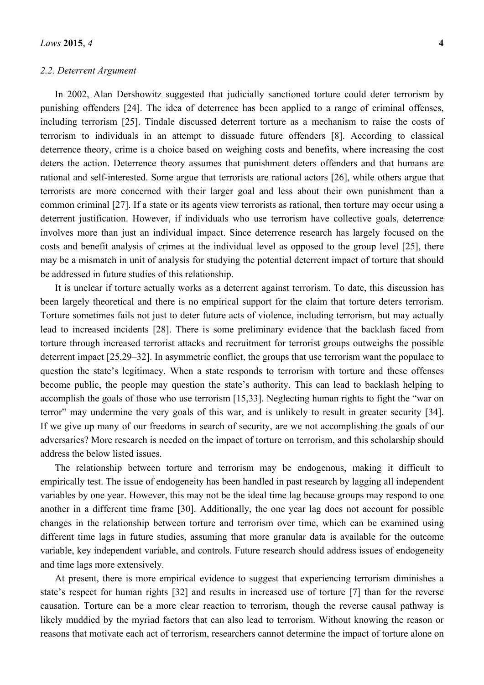#### *2.2. Deterrent Argument*

In 2002, Alan Dershowitz suggested that judicially sanctioned torture could deter terrorism by punishing offenders [24]. The idea of deterrence has been applied to a range of criminal offenses, including terrorism [25]. Tindale discussed deterrent torture as a mechanism to raise the costs of terrorism to individuals in an attempt to dissuade future offenders [8]. According to classical deterrence theory, crime is a choice based on weighing costs and benefits, where increasing the cost deters the action. Deterrence theory assumes that punishment deters offenders and that humans are rational and self-interested. Some argue that terrorists are rational actors [26], while others argue that terrorists are more concerned with their larger goal and less about their own punishment than a common criminal [27]. If a state or its agents view terrorists as rational, then torture may occur using a deterrent justification. However, if individuals who use terrorism have collective goals, deterrence involves more than just an individual impact. Since deterrence research has largely focused on the costs and benefit analysis of crimes at the individual level as opposed to the group level [25], there may be a mismatch in unit of analysis for studying the potential deterrent impact of torture that should be addressed in future studies of this relationship.

It is unclear if torture actually works as a deterrent against terrorism. To date, this discussion has been largely theoretical and there is no empirical support for the claim that torture deters terrorism. Torture sometimes fails not just to deter future acts of violence, including terrorism, but may actually lead to increased incidents [28]. There is some preliminary evidence that the backlash faced from torture through increased terrorist attacks and recruitment for terrorist groups outweighs the possible deterrent impact [25,29–32]. In asymmetric conflict, the groups that use terrorism want the populace to question the state's legitimacy. When a state responds to terrorism with torture and these offenses become public, the people may question the state's authority. This can lead to backlash helping to accomplish the goals of those who use terrorism [15,33]. Neglecting human rights to fight the "war on terror" may undermine the very goals of this war, and is unlikely to result in greater security [34]. If we give up many of our freedoms in search of security, are we not accomplishing the goals of our adversaries? More research is needed on the impact of torture on terrorism, and this scholarship should address the below listed issues.

The relationship between torture and terrorism may be endogenous, making it difficult to empirically test. The issue of endogeneity has been handled in past research by lagging all independent variables by one year. However, this may not be the ideal time lag because groups may respond to one another in a different time frame [30]. Additionally, the one year lag does not account for possible changes in the relationship between torture and terrorism over time, which can be examined using different time lags in future studies, assuming that more granular data is available for the outcome variable, key independent variable, and controls. Future research should address issues of endogeneity and time lags more extensively.

At present, there is more empirical evidence to suggest that experiencing terrorism diminishes a state's respect for human rights [32] and results in increased use of torture [7] than for the reverse causation. Torture can be a more clear reaction to terrorism, though the reverse causal pathway is likely muddied by the myriad factors that can also lead to terrorism. Without knowing the reason or reasons that motivate each act of terrorism, researchers cannot determine the impact of torture alone on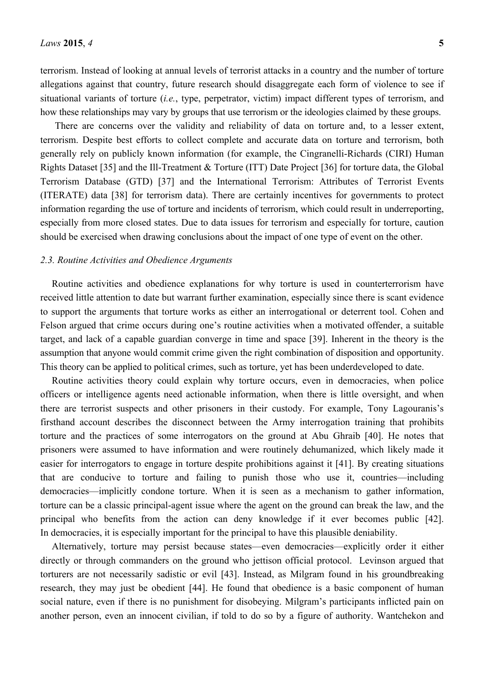terrorism. Instead of looking at annual levels of terrorist attacks in a country and the number of torture allegations against that country, future research should disaggregate each form of violence to see if situational variants of torture (*i.e.*, type, perpetrator, victim) impact different types of terrorism, and how these relationships may vary by groups that use terrorism or the ideologies claimed by these groups.

There are concerns over the validity and reliability of data on torture and, to a lesser extent, terrorism. Despite best efforts to collect complete and accurate data on torture and terrorism, both generally rely on publicly known information (for example, the Cingranelli-Richards (CIRI) Human Rights Dataset [35] and the Ill-Treatment & Torture (ITT) Date Project [36] for torture data, the Global Terrorism Database (GTD) [37] and the International Terrorism: Attributes of Terrorist Events (ITERATE) data [38] for terrorism data). There are certainly incentives for governments to protect information regarding the use of torture and incidents of terrorism, which could result in underreporting, especially from more closed states. Due to data issues for terrorism and especially for torture, caution should be exercised when drawing conclusions about the impact of one type of event on the other.

## *2.3. Routine Activities and Obedience Arguments*

Routine activities and obedience explanations for why torture is used in counterterrorism have received little attention to date but warrant further examination, especially since there is scant evidence to support the arguments that torture works as either an interrogational or deterrent tool. Cohen and Felson argued that crime occurs during one's routine activities when a motivated offender, a suitable target, and lack of a capable guardian converge in time and space [39]. Inherent in the theory is the assumption that anyone would commit crime given the right combination of disposition and opportunity. This theory can be applied to political crimes, such as torture, yet has been underdeveloped to date.

Routine activities theory could explain why torture occurs, even in democracies, when police officers or intelligence agents need actionable information, when there is little oversight, and when there are terrorist suspects and other prisoners in their custody. For example, Tony Lagouranis's firsthand account describes the disconnect between the Army interrogation training that prohibits torture and the practices of some interrogators on the ground at Abu Ghraib [40]. He notes that prisoners were assumed to have information and were routinely dehumanized, which likely made it easier for interrogators to engage in torture despite prohibitions against it [41]. By creating situations that are conducive to torture and failing to punish those who use it, countries—including democracies—implicitly condone torture. When it is seen as a mechanism to gather information, torture can be a classic principal-agent issue where the agent on the ground can break the law, and the principal who benefits from the action can deny knowledge if it ever becomes public [42]. In democracies, it is especially important for the principal to have this plausible deniability.

Alternatively, torture may persist because states—even democracies—explicitly order it either directly or through commanders on the ground who jettison official protocol. Levinson argued that torturers are not necessarily sadistic or evil [43]. Instead, as Milgram found in his groundbreaking research, they may just be obedient [44]. He found that obedience is a basic component of human social nature, even if there is no punishment for disobeying. Milgram's participants inflicted pain on another person, even an innocent civilian, if told to do so by a figure of authority. Wantchekon and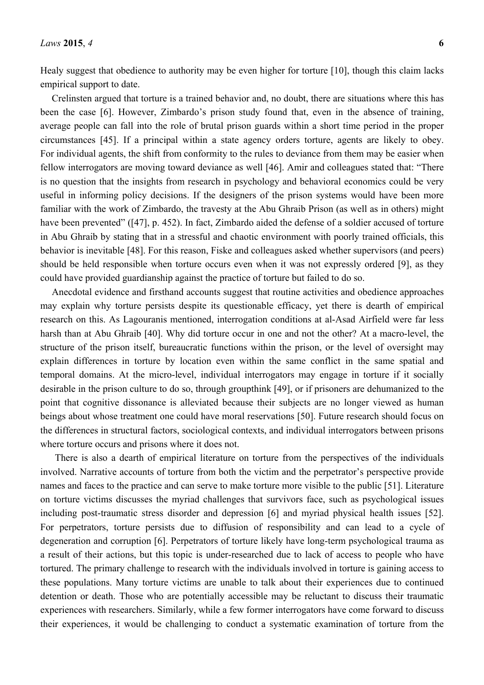Healy suggest that obedience to authority may be even higher for torture [10], though this claim lacks empirical support to date.

Crelinsten argued that torture is a trained behavior and, no doubt, there are situations where this has been the case [6]. However, Zimbardo's prison study found that, even in the absence of training, average people can fall into the role of brutal prison guards within a short time period in the proper circumstances [45]. If a principal within a state agency orders torture, agents are likely to obey. For individual agents, the shift from conformity to the rules to deviance from them may be easier when fellow interrogators are moving toward deviance as well [46]. Amir and colleagues stated that: "There is no question that the insights from research in psychology and behavioral economics could be very useful in informing policy decisions. If the designers of the prison systems would have been more familiar with the work of Zimbardo, the travesty at the Abu Ghraib Prison (as well as in others) might have been prevented" ([47], p. 452). In fact, Zimbardo aided the defense of a soldier accused of torture in Abu Ghraib by stating that in a stressful and chaotic environment with poorly trained officials, this behavior is inevitable [48]. For this reason, Fiske and colleagues asked whether supervisors (and peers) should be held responsible when torture occurs even when it was not expressly ordered [9], as they could have provided guardianship against the practice of torture but failed to do so.

Anecdotal evidence and firsthand accounts suggest that routine activities and obedience approaches may explain why torture persists despite its questionable efficacy, yet there is dearth of empirical research on this. As Lagouranis mentioned, interrogation conditions at al-Asad Airfield were far less harsh than at Abu Ghraib [40]. Why did torture occur in one and not the other? At a macro-level, the structure of the prison itself, bureaucratic functions within the prison, or the level of oversight may explain differences in torture by location even within the same conflict in the same spatial and temporal domains. At the micro-level, individual interrogators may engage in torture if it socially desirable in the prison culture to do so, through groupthink [49], or if prisoners are dehumanized to the point that cognitive dissonance is alleviated because their subjects are no longer viewed as human beings about whose treatment one could have moral reservations [50]. Future research should focus on the differences in structural factors, sociological contexts, and individual interrogators between prisons where torture occurs and prisons where it does not.

There is also a dearth of empirical literature on torture from the perspectives of the individuals involved. Narrative accounts of torture from both the victim and the perpetrator's perspective provide names and faces to the practice and can serve to make torture more visible to the public [51]. Literature on torture victims discusses the myriad challenges that survivors face, such as psychological issues including post-traumatic stress disorder and depression [6] and myriad physical health issues [52]. For perpetrators, torture persists due to diffusion of responsibility and can lead to a cycle of degeneration and corruption [6]. Perpetrators of torture likely have long-term psychological trauma as a result of their actions, but this topic is under-researched due to lack of access to people who have tortured. The primary challenge to research with the individuals involved in torture is gaining access to these populations. Many torture victims are unable to talk about their experiences due to continued detention or death. Those who are potentially accessible may be reluctant to discuss their traumatic experiences with researchers. Similarly, while a few former interrogators have come forward to discuss their experiences, it would be challenging to conduct a systematic examination of torture from the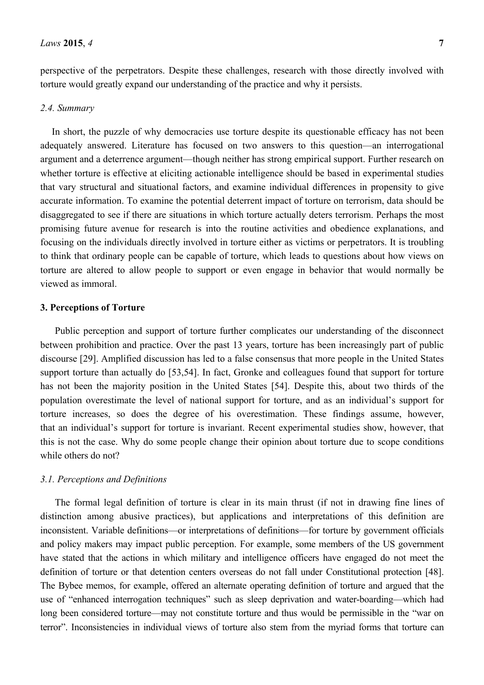perspective of the perpetrators. Despite these challenges, research with those directly involved with torture would greatly expand our understanding of the practice and why it persists.

#### *2.4. Summary*

In short, the puzzle of why democracies use torture despite its questionable efficacy has not been adequately answered. Literature has focused on two answers to this question—an interrogational argument and a deterrence argument—though neither has strong empirical support. Further research on whether torture is effective at eliciting actionable intelligence should be based in experimental studies that vary structural and situational factors, and examine individual differences in propensity to give accurate information. To examine the potential deterrent impact of torture on terrorism, data should be disaggregated to see if there are situations in which torture actually deters terrorism. Perhaps the most promising future avenue for research is into the routine activities and obedience explanations, and focusing on the individuals directly involved in torture either as victims or perpetrators. It is troubling to think that ordinary people can be capable of torture, which leads to questions about how views on torture are altered to allow people to support or even engage in behavior that would normally be viewed as immoral.

## **3. Perceptions of Torture**

Public perception and support of torture further complicates our understanding of the disconnect between prohibition and practice. Over the past 13 years, torture has been increasingly part of public discourse [29]. Amplified discussion has led to a false consensus that more people in the United States support torture than actually do [53,54]. In fact, Gronke and colleagues found that support for torture has not been the majority position in the United States [54]. Despite this, about two thirds of the population overestimate the level of national support for torture, and as an individual's support for torture increases, so does the degree of his overestimation. These findings assume, however, that an individual's support for torture is invariant. Recent experimental studies show, however, that this is not the case. Why do some people change their opinion about torture due to scope conditions while others do not?

#### *3.1. Perceptions and Definitions*

The formal legal definition of torture is clear in its main thrust (if not in drawing fine lines of distinction among abusive practices), but applications and interpretations of this definition are inconsistent. Variable definitions—or interpretations of definitions—for torture by government officials and policy makers may impact public perception. For example, some members of the US government have stated that the actions in which military and intelligence officers have engaged do not meet the definition of torture or that detention centers overseas do not fall under Constitutional protection [48]. The Bybee memos, for example, offered an alternate operating definition of torture and argued that the use of "enhanced interrogation techniques" such as sleep deprivation and water-boarding—which had long been considered torture—may not constitute torture and thus would be permissible in the "war on terror". Inconsistencies in individual views of torture also stem from the myriad forms that torture can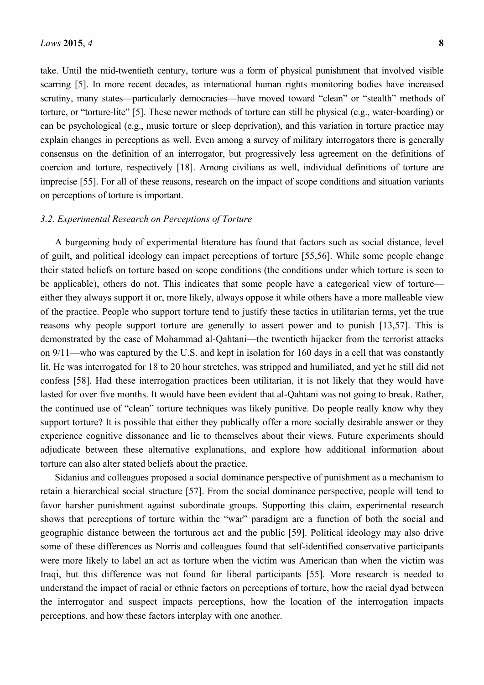take. Until the mid-twentieth century, torture was a form of physical punishment that involved visible scarring [5]. In more recent decades, as international human rights monitoring bodies have increased scrutiny, many states—particularly democracies—have moved toward "clean" or "stealth" methods of torture, or "torture-lite" [5]. These newer methods of torture can still be physical (e.g., water-boarding) or can be psychological (e.g., music torture or sleep deprivation), and this variation in torture practice may explain changes in perceptions as well. Even among a survey of military interrogators there is generally consensus on the definition of an interrogator, but progressively less agreement on the definitions of coercion and torture, respectively [18]. Among civilians as well, individual definitions of torture are imprecise [55]. For all of these reasons, research on the impact of scope conditions and situation variants on perceptions of torture is important.

#### *3.2. Experimental Research on Perceptions of Torture*

A burgeoning body of experimental literature has found that factors such as social distance, level of guilt, and political ideology can impact perceptions of torture [55,56]. While some people change their stated beliefs on torture based on scope conditions (the conditions under which torture is seen to be applicable), others do not. This indicates that some people have a categorical view of torture either they always support it or, more likely, always oppose it while others have a more malleable view of the practice. People who support torture tend to justify these tactics in utilitarian terms, yet the true reasons why people support torture are generally to assert power and to punish [13,57]. This is demonstrated by the case of Mohammad al-Qahtani—the twentieth hijacker from the terrorist attacks on 9/11—who was captured by the U.S. and kept in isolation for 160 days in a cell that was constantly lit. He was interrogated for 18 to 20 hour stretches, was stripped and humiliated, and yet he still did not confess [58]. Had these interrogation practices been utilitarian, it is not likely that they would have lasted for over five months. It would have been evident that al-Qahtani was not going to break. Rather, the continued use of "clean" torture techniques was likely punitive. Do people really know why they support torture? It is possible that either they publically offer a more socially desirable answer or they experience cognitive dissonance and lie to themselves about their views. Future experiments should adjudicate between these alternative explanations, and explore how additional information about torture can also alter stated beliefs about the practice.

Sidanius and colleagues proposed a social dominance perspective of punishment as a mechanism to retain a hierarchical social structure [57]. From the social dominance perspective, people will tend to favor harsher punishment against subordinate groups. Supporting this claim, experimental research shows that perceptions of torture within the "war" paradigm are a function of both the social and geographic distance between the torturous act and the public [59]. Political ideology may also drive some of these differences as Norris and colleagues found that self-identified conservative participants were more likely to label an act as torture when the victim was American than when the victim was Iraqi, but this difference was not found for liberal participants [55]. More research is needed to understand the impact of racial or ethnic factors on perceptions of torture, how the racial dyad between the interrogator and suspect impacts perceptions, how the location of the interrogation impacts perceptions, and how these factors interplay with one another.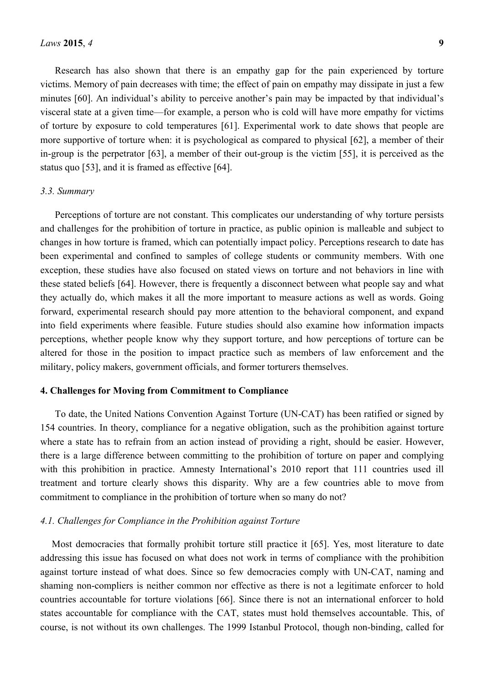Research has also shown that there is an empathy gap for the pain experienced by torture victims. Memory of pain decreases with time; the effect of pain on empathy may dissipate in just a few minutes [60]. An individual's ability to perceive another's pain may be impacted by that individual's visceral state at a given time—for example, a person who is cold will have more empathy for victims of torture by exposure to cold temperatures [61]. Experimental work to date shows that people are more supportive of torture when: it is psychological as compared to physical [62], a member of their in-group is the perpetrator [63], a member of their out-group is the victim [55], it is perceived as the status quo [53], and it is framed as effective [64].

#### *3.3. Summary*

Perceptions of torture are not constant. This complicates our understanding of why torture persists and challenges for the prohibition of torture in practice, as public opinion is malleable and subject to changes in how torture is framed, which can potentially impact policy. Perceptions research to date has been experimental and confined to samples of college students or community members. With one exception, these studies have also focused on stated views on torture and not behaviors in line with these stated beliefs [64]. However, there is frequently a disconnect between what people say and what they actually do, which makes it all the more important to measure actions as well as words. Going forward, experimental research should pay more attention to the behavioral component, and expand into field experiments where feasible. Future studies should also examine how information impacts perceptions, whether people know why they support torture, and how perceptions of torture can be altered for those in the position to impact practice such as members of law enforcement and the military, policy makers, government officials, and former torturers themselves.

#### **4. Challenges for Moving from Commitment to Compliance**

To date, the United Nations Convention Against Torture (UN-CAT) has been ratified or signed by 154 countries. In theory, compliance for a negative obligation, such as the prohibition against torture where a state has to refrain from an action instead of providing a right, should be easier. However, there is a large difference between committing to the prohibition of torture on paper and complying with this prohibition in practice. Amnesty International's 2010 report that 111 countries used ill treatment and torture clearly shows this disparity. Why are a few countries able to move from commitment to compliance in the prohibition of torture when so many do not?

#### *4.1. Challenges for Compliance in the Prohibition against Torture*

Most democracies that formally prohibit torture still practice it [65]. Yes, most literature to date addressing this issue has focused on what does not work in terms of compliance with the prohibition against torture instead of what does. Since so few democracies comply with UN-CAT, naming and shaming non-compliers is neither common nor effective as there is not a legitimate enforcer to hold countries accountable for torture violations [66]. Since there is not an international enforcer to hold states accountable for compliance with the CAT, states must hold themselves accountable. This, of course, is not without its own challenges. The 1999 Istanbul Protocol, though non-binding, called for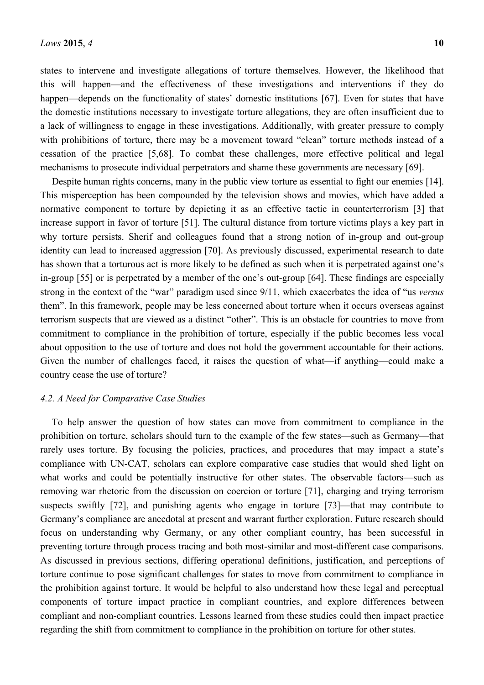states to intervene and investigate allegations of torture themselves. However, the likelihood that this will happen—and the effectiveness of these investigations and interventions if they do happen—depends on the functionality of states' domestic institutions [67]. Even for states that have the domestic institutions necessary to investigate torture allegations, they are often insufficient due to a lack of willingness to engage in these investigations. Additionally, with greater pressure to comply with prohibitions of torture, there may be a movement toward "clean" torture methods instead of a cessation of the practice [5,68]. To combat these challenges, more effective political and legal mechanisms to prosecute individual perpetrators and shame these governments are necessary [69].

Despite human rights concerns, many in the public view torture as essential to fight our enemies [14]. This misperception has been compounded by the television shows and movies, which have added a normative component to torture by depicting it as an effective tactic in counterterrorism [3] that increase support in favor of torture [51]. The cultural distance from torture victims plays a key part in why torture persists. Sherif and colleagues found that a strong notion of in-group and out-group identity can lead to increased aggression [70]. As previously discussed, experimental research to date has shown that a torturous act is more likely to be defined as such when it is perpetrated against one's in-group [55] or is perpetrated by a member of the one's out-group [64]. These findings are especially strong in the context of the "war" paradigm used since 9/11, which exacerbates the idea of "us *versus* them". In this framework, people may be less concerned about torture when it occurs overseas against terrorism suspects that are viewed as a distinct "other". This is an obstacle for countries to move from commitment to compliance in the prohibition of torture, especially if the public becomes less vocal about opposition to the use of torture and does not hold the government accountable for their actions. Given the number of challenges faced, it raises the question of what—if anything—could make a country cease the use of torture?

#### *4.2. A Need for Comparative Case Studies*

To help answer the question of how states can move from commitment to compliance in the prohibition on torture, scholars should turn to the example of the few states—such as Germany—that rarely uses torture. By focusing the policies, practices, and procedures that may impact a state's compliance with UN-CAT, scholars can explore comparative case studies that would shed light on what works and could be potentially instructive for other states. The observable factors—such as removing war rhetoric from the discussion on coercion or torture [71], charging and trying terrorism suspects swiftly [72], and punishing agents who engage in torture [73]—that may contribute to Germany's compliance are anecdotal at present and warrant further exploration. Future research should focus on understanding why Germany, or any other compliant country, has been successful in preventing torture through process tracing and both most-similar and most-different case comparisons. As discussed in previous sections, differing operational definitions, justification, and perceptions of torture continue to pose significant challenges for states to move from commitment to compliance in the prohibition against torture. It would be helpful to also understand how these legal and perceptual components of torture impact practice in compliant countries, and explore differences between compliant and non-compliant countries. Lessons learned from these studies could then impact practice regarding the shift from commitment to compliance in the prohibition on torture for other states.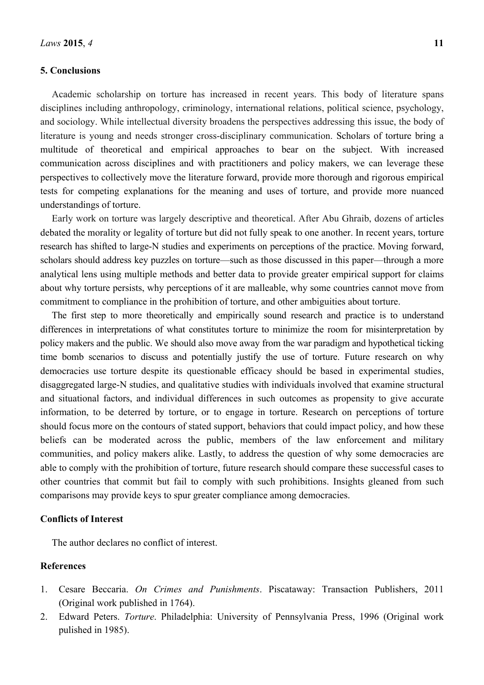## **5. Conclusions**

Academic scholarship on torture has increased in recent years. This body of literature spans disciplines including anthropology, criminology, international relations, political science, psychology, and sociology. While intellectual diversity broadens the perspectives addressing this issue, the body of literature is young and needs stronger cross-disciplinary communication. Scholars of torture bring a multitude of theoretical and empirical approaches to bear on the subject. With increased communication across disciplines and with practitioners and policy makers, we can leverage these perspectives to collectively move the literature forward, provide more thorough and rigorous empirical tests for competing explanations for the meaning and uses of torture, and provide more nuanced understandings of torture.

Early work on torture was largely descriptive and theoretical. After Abu Ghraib, dozens of articles debated the morality or legality of torture but did not fully speak to one another. In recent years, torture research has shifted to large-N studies and experiments on perceptions of the practice. Moving forward, scholars should address key puzzles on torture—such as those discussed in this paper—through a more analytical lens using multiple methods and better data to provide greater empirical support for claims about why torture persists, why perceptions of it are malleable, why some countries cannot move from commitment to compliance in the prohibition of torture, and other ambiguities about torture.

The first step to more theoretically and empirically sound research and practice is to understand differences in interpretations of what constitutes torture to minimize the room for misinterpretation by policy makers and the public. We should also move away from the war paradigm and hypothetical ticking time bomb scenarios to discuss and potentially justify the use of torture. Future research on why democracies use torture despite its questionable efficacy should be based in experimental studies, disaggregated large-N studies, and qualitative studies with individuals involved that examine structural and situational factors, and individual differences in such outcomes as propensity to give accurate information, to be deterred by torture, or to engage in torture. Research on perceptions of torture should focus more on the contours of stated support, behaviors that could impact policy, and how these beliefs can be moderated across the public, members of the law enforcement and military communities, and policy makers alike. Lastly, to address the question of why some democracies are able to comply with the prohibition of torture, future research should compare these successful cases to other countries that commit but fail to comply with such prohibitions. Insights gleaned from such comparisons may provide keys to spur greater compliance among democracies.

#### **Conflicts of Interest**

The author declares no conflict of interest.

## **References**

- 1. Cesare Beccaria. *On Crimes and Punishments*. Piscataway: Transaction Publishers, 2011 (Original work published in 1764).
- 2. Edward Peters. *Torture*. Philadelphia: University of Pennsylvania Press, 1996 (Original work pulished in 1985).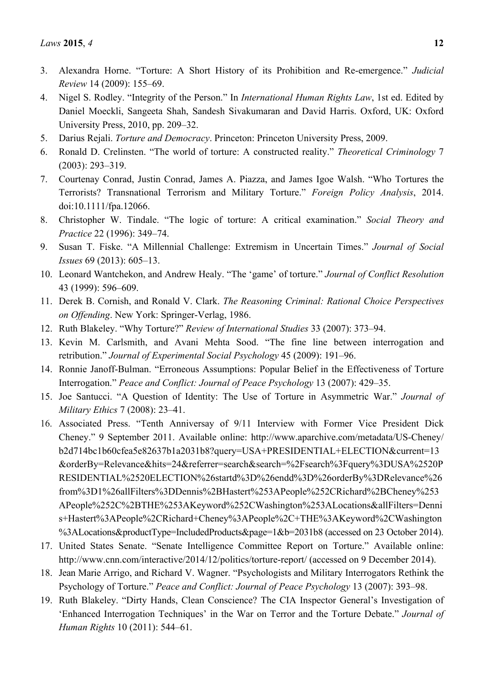- 3. Alexandra Horne. "Torture: A Short History of its Prohibition and Re-emergence." *Judicial Review* 14 (2009): 155–69.
- 4. Nigel S. Rodley. "Integrity of the Person." In *International Human Rights Law*, 1st ed. Edited by Daniel Moeckli, Sangeeta Shah, Sandesh Sivakumaran and David Harris. Oxford, UK: Oxford University Press, 2010, pp. 209–32.
- 5. Darius Rejali. *Torture and Democracy*. Princeton: Princeton University Press, 2009.
- 6. Ronald D. Crelinsten. "The world of torture: A constructed reality." *Theoretical Criminology* 7 (2003): 293–319.
- 7. Courtenay Conrad, Justin Conrad, James A. Piazza, and James Igoe Walsh. "Who Tortures the Terrorists? Transnational Terrorism and Military Torture." *Foreign Policy Analysis*, 2014. doi:10.1111/fpa.12066.
- 8. Christopher W. Tindale. "The logic of torture: A critical examination." *Social Theory and Practice* 22 (1996): 349–74.
- 9. Susan T. Fiske. "A Millennial Challenge: Extremism in Uncertain Times." *Journal of Social Issues* 69 (2013): 605–13.
- 10. Leonard Wantchekon, and Andrew Healy. "The 'game' of torture." *Journal of Conflict Resolution*  43 (1999): 596–609.
- 11. Derek B. Cornish, and Ronald V. Clark. *The Reasoning Criminal: Rational Choice Perspectives on Offending*. New York: Springer-Verlag, 1986.
- 12. Ruth Blakeley. "Why Torture?" *Review of International Studies* 33 (2007): 373–94.
- 13. Kevin M. Carlsmith, and Avani Mehta Sood. "The fine line between interrogation and retribution." *Journal of Experimental Social Psychology* 45 (2009): 191–96.
- 14. Ronnie Janoff-Bulman. "Erroneous Assumptions: Popular Belief in the Effectiveness of Torture Interrogation." *Peace and Conflict: Journal of Peace Psychology* 13 (2007): 429–35.
- 15. Joe Santucci. "A Question of Identity: The Use of Torture in Asymmetric War." *Journal of Military Ethics* 7 (2008): 23–41.
- 16. Associated Press. "Tenth Anniversay of 9/11 Interview with Former Vice President Dick Cheney." 9 September 2011. Available online: http://www.aparchive.com/metadata/US-Cheney/ b2d714bc1b60cfea5e82637b1a2031b8?query=USA+PRESIDENTIAL+ELECTION&current=13 &orderBy=Relevance&hits=24&referrer=search&search=%2Fsearch%3Fquery%3DUSA%2520P RESIDENTIAL%2520ELECTION%26startd%3D%26endd%3D%26orderBy%3DRelevance%26 from%3D1%26allFilters%3DDennis%2BHastert%253APeople%252CRichard%2BCheney%253 APeople%252C%2BTHE%253AKeyword%252CWashington%253ALocations&allFilters=Denni s+Hastert%3APeople%2CRichard+Cheney%3APeople%2C+THE%3AKeyword%2CWashington %3ALocations&productType=IncludedProducts&page=1&b=2031b8 (accessed on 23 October 2014).
- 17. United States Senate. "Senate Intelligence Committee Report on Torture." Available online: http://www.cnn.com/interactive/2014/12/politics/torture-report/ (accessed on 9 December 2014).
- 18. Jean Marie Arrigo, and Richard V. Wagner. "Psychologists and Military Interrogators Rethink the Psychology of Torture." *Peace and Conflict: Journal of Peace Psychology* 13 (2007): 393–98.
- 19. Ruth Blakeley. "Dirty Hands, Clean Conscience? The CIA Inspector General's Investigation of 'Enhanced Interrogation Techniques' in the War on Terror and the Torture Debate." *Journal of Human Rights* 10 (2011): 544–61.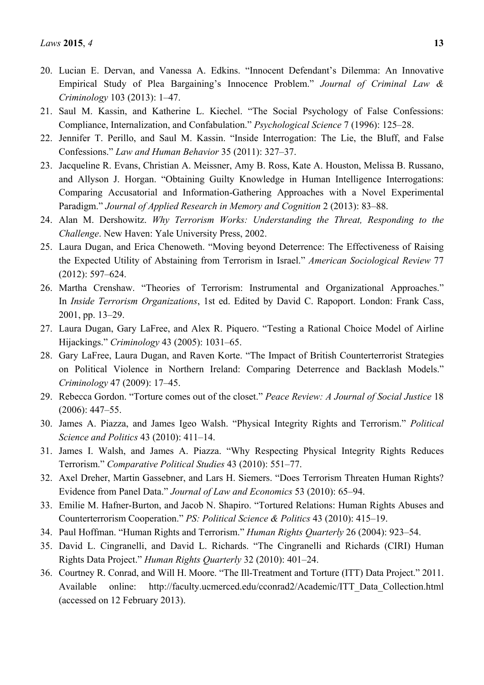- 20. Lucian E. Dervan, and Vanessa A. Edkins. "Innocent Defendant's Dilemma: An Innovative Empirical Study of Plea Bargaining's Innocence Problem." *Journal of Criminal Law & Criminology* 103 (2013): 1–47.
- 21. Saul M. Kassin, and Katherine L. Kiechel. "The Social Psychology of False Confessions: Compliance, Internalization, and Confabulation." *Psychological Science* 7 (1996): 125–28.
- 22. Jennifer T. Perillo, and Saul M. Kassin. "Inside Interrogation: The Lie, the Bluff, and False Confessions." *Law and Human Behavior* 35 (2011): 327–37.
- 23. Jacqueline R. Evans, Christian A. Meissner, Amy B. Ross, Kate A. Houston, Melissa B. Russano, and Allyson J. Horgan. "Obtaining Guilty Knowledge in Human Intelligence Interrogations: Comparing Accusatorial and Information-Gathering Approaches with a Novel Experimental Paradigm." *Journal of Applied Research in Memory and Cognition* 2 (2013): 83–88.
- 24. Alan M. Dershowitz. *Why Terrorism Works: Understanding the Threat, Responding to the Challenge*. New Haven: Yale University Press, 2002.
- 25. Laura Dugan, and Erica Chenoweth. "Moving beyond Deterrence: The Effectiveness of Raising the Expected Utility of Abstaining from Terrorism in Israel." *American Sociological Review* 77 (2012): 597–624.
- 26. Martha Crenshaw. "Theories of Terrorism: Instrumental and Organizational Approaches." In *Inside Terrorism Organizations*, 1st ed. Edited by David C. Rapoport. London: Frank Cass, 2001, pp. 13–29.
- 27. Laura Dugan, Gary LaFree, and Alex R. Piquero. "Testing a Rational Choice Model of Airline Hijackings." *Criminology* 43 (2005): 1031–65.
- 28. Gary LaFree, Laura Dugan, and Raven Korte. "The Impact of British Counterterrorist Strategies on Political Violence in Northern Ireland: Comparing Deterrence and Backlash Models." *Criminology* 47 (2009): 17–45.
- 29. Rebecca Gordon. "Torture comes out of the closet." *Peace Review: A Journal of Social Justice* 18 (2006): 447–55.
- 30. James A. Piazza, and James Igeo Walsh. "Physical Integrity Rights and Terrorism." *Political Science and Politics* 43 (2010): 411–14.
- 31. James I. Walsh, and James A. Piazza. "Why Respecting Physical Integrity Rights Reduces Terrorism." *Comparative Political Studies* 43 (2010): 551–77.
- 32. Axel Dreher, Martin Gassebner, and Lars H. Siemers. "Does Terrorism Threaten Human Rights? Evidence from Panel Data." *Journal of Law and Economics* 53 (2010): 65–94.
- 33. Emilie M. Hafner-Burton, and Jacob N. Shapiro. "Tortured Relations: Human Rights Abuses and Counterterrorism Cooperation." *PS: Political Science & Politics* 43 (2010): 415–19.
- 34. Paul Hoffman. "Human Rights and Terrorism." *Human Rights Quarterly* 26 (2004): 923–54.
- 35. David L. Cingranelli, and David L. Richards. "The Cingranelli and Richards (CIRI) Human Rights Data Project." *Human Rights Quarterly* 32 (2010): 401–24.
- 36. Courtney R. Conrad, and Will H. Moore. "The Ill-Treatment and Torture (ITT) Data Project." 2011. Available online: http://faculty.ucmerced.edu/cconrad2/Academic/ITT\_Data\_Collection.html (accessed on 12 February 2013).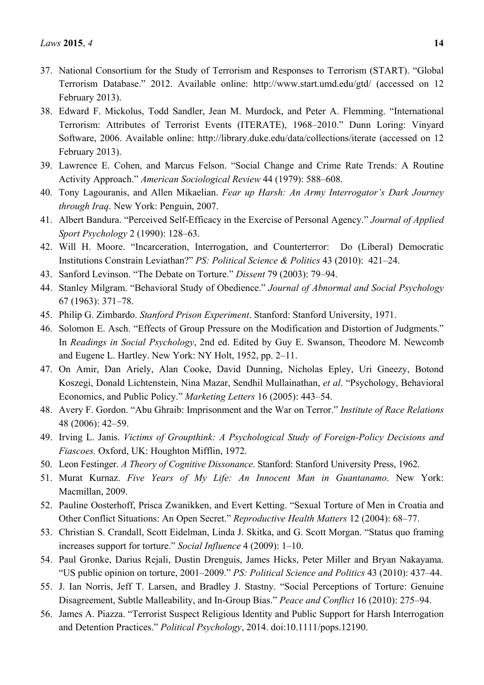- 37. National Consortium for the Study of Terrorism and Responses to Terrorism (START). "Global Terrorism Database." 2012. Available online: http://www.start.umd.edu/gtd/ (accessed on 12 February 2013).
- 38. Edward F. Mickolus, Todd Sandler, Jean M. Murdock, and Peter A. Flemming. "International Terrorism: Attributes of Terrorist Events (ITERATE), 1968–2010." Dunn Loring: Vinyard Software, 2006. Available online: http://library.duke.edu/data/collections/iterate (accessed on 12 February 2013).
- 39. Lawrence E. Cohen, and Marcus Felson. "Social Change and Crime Rate Trends: A Routine Activity Approach." *American Sociological Review* 44 (1979): 588–608.
- 40. Tony Lagouranis, and Allen Mikaelian. *Fear up Harsh: An Army Interrogator's Dark Journey through Iraq*. New York: Penguin, 2007.
- 41. Albert Bandura. "Perceived Self-Efficacy in the Exercise of Personal Agency." *Journal of Applied Sport Psychology* 2 (1990): 128–63.
- 42. Will H. Moore. "Incarceration, Interrogation, and Counterterror: Do (Liberal) Democratic Institutions Constrain Leviathan?" *PS: Political Science & Politics* 43 (2010): 421–24.
- 43. Sanford Levinson. "The Debate on Torture." *Dissent* 79 (2003): 79–94.
- 44. Stanley Milgram. "Behavioral Study of Obedience." *Journal of Abnormal and Social Psychology*  67 (1963): 371–78.
- 45. Philip G. Zimbardo. *Stanford Prison Experiment*. Stanford: Stanford University, 1971.
- 46. Solomon E. Asch. "Effects of Group Pressure on the Modification and Distortion of Judgments." In *Readings in Social Psychology*, 2nd ed. Edited by Guy E. Swanson, Theodore M. Newcomb and Eugene L. Hartley. New York: NY Holt, 1952, pp. 2–11.
- 47. On Amir, Dan Ariely, Alan Cooke, David Dunning, Nicholas Epley, Uri Gneezy, Botond Koszegi, Donald Lichtenstein, Nina Mazar, Sendhil Mullainathan, *et al*. "Psychology, Behavioral Economics, and Public Policy." *Marketing Letters* 16 (2005): 443–54.
- 48. Avery F. Gordon. "Abu Ghraib: Imprisonment and the War on Terror." *Institute of Race Relations*  48 (2006): 42–59.
- 49. Irving L. Janis. *Victims of Groupthink: A Psychological Study of Foreign-Policy Decisions and Fiascoes.* Oxford, UK: Houghton Mifflin, 1972.
- 50. Leon Festinger. *A Theory of Cognitive Dissonance*. Stanford: Stanford University Press, 1962.
- 51. Murat Kurnaz. *Five Years of My Life: An Innocent Man in Guantanamo*. New York: Macmillan, 2009.
- 52. Pauline Oosterhoff, Prisca Zwanikken, and Evert Ketting. "Sexual Torture of Men in Croatia and Other Conflict Situations: An Open Secret." *Reproductive Health Matters* 12 (2004): 68–77.
- 53. Christian S. Crandall, Scott Eidelman, Linda J. Skitka, and G. Scott Morgan. "Status quo framing increases support for torture." *Social Influence* 4 (2009): 1–10.
- 54. Paul Gronke, Darius Rejali, Dustin Drenguis, James Hicks, Peter Miller and Bryan Nakayama. "US public opinion on torture, 2001–2009." *PS: Political Science and Politics* 43 (2010): 437–44.
- 55. J. Ian Norris, Jeff T. Larsen, and Bradley J. Stastny. "Social Perceptions of Torture: Genuine Disagreement, Subtle Malleability, and In-Group Bias." *Peace and Conflict* 16 (2010): 275–94.
- 56. James A. Piazza. "Terrorist Suspect Religious Identity and Public Support for Harsh Interrogation and Detention Practices." *Political Psychology*, 2014. doi:10.1111/pops.12190.